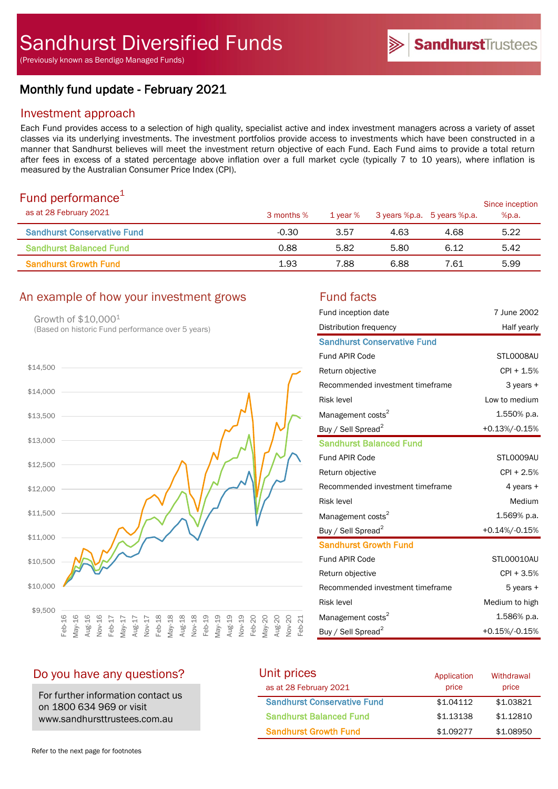# Monthly fund update - February 2021

#### Investment approach

Each Fund provides access to a selection of high quality, specialist active and index investment managers across a variety of asset classes via its underlying investments. The investment portfolios provide access to investments which have been constructed in a manner that Sandhurst believes will meet the investment return objective of each Fund. Each Fund aims to provide a total return after fees in excess of a stated percentage above inflation over a full market cycle (typically 7 to 10 years), where inflation is measured by the Australian Consumer Price Index (CPI).

# Fund performance $1$

| $\sim$ 0.10 $\sim$ 0.11 $\sim$ 0.11 $\sim$ 0.11 $\sim$ 0.11<br>as at 28 February 2021 | 3 months % | 1 vear % | 3 years %p.a. 5 years %p.a. |      | Since inception<br>%p.a. |
|---------------------------------------------------------------------------------------|------------|----------|-----------------------------|------|--------------------------|
| <b>Sandhurst Conservative Fund</b>                                                    | $-0.30$    | 3.57     | 4.63                        | 4.68 | 5.22                     |
| <b>Sandhurst Balanced Fund</b>                                                        | 0.88       | 5.82     | 5.80                        | 6.12 | 5.42                     |
| <b>Sandhurst Growth Fund</b>                                                          | 1.93       | 7.88     | 6.88                        | 7.61 | 5.99                     |

## An example of how your investment grows Fund facts

Growth of \$10,0001 (Based on historic Fund performance over 5 years)



| Fund inception date                | 7 June 2002    |
|------------------------------------|----------------|
| Distribution frequency             | Half yearly    |
| <b>Sandhurst Conservative Fund</b> |                |
| <b>Fund APIR Code</b>              | STLO008AU      |
| Return objective                   | $CPI + 1.5%$   |
| Recommended investment timeframe   | 3 years +      |
| <b>Risk level</b>                  | Low to medium  |
| Management costs <sup>2</sup>      | 1.550% p.a.    |
| Buy / Sell Spread <sup>2</sup>     | +0.13%/-0.15%  |
| <b>Sandhurst Balanced Fund</b>     |                |
| <b>Fund APIR Code</b>              | STLO009AU      |
| Return objective                   | $CPI + 2.5%$   |
| Recommended investment timeframe   | 4 years +      |
| <b>Risk level</b>                  | Medium         |
| Management costs <sup>2</sup>      | 1.569% p.a.    |
| Buy / Sell Spread <sup>2</sup>     | +0.14%/-0.15%  |
| <b>Sandhurst Growth Fund</b>       |                |
| <b>Fund APIR Code</b>              | STL00010AU     |
| Return objective                   | $CPI + 3.5%$   |
| Recommended investment timeframe   | 5 years +      |
| <b>Risk level</b>                  | Medium to high |
| Management costs <sup>2</sup>      | 1.586% p.a.    |
| Buy / Sell Spread <sup>2</sup>     | +0.15%/-0.15%  |

SandhurstTrustees

## Do you have any questions?

For further information contact us on 1800 634 969 or visit www.sandhursttrustees.com.au

#### Unit prices as at 28 February 2021 Sandhurst Conservative Fund  $$1.04112$  \$1.03821 Sandhurst Balanced Fund  $$1.13138$  \$1.12810 **Sandhurst Growth Fund 51.09277 \$1.08950** Application price **Withdrawal** price